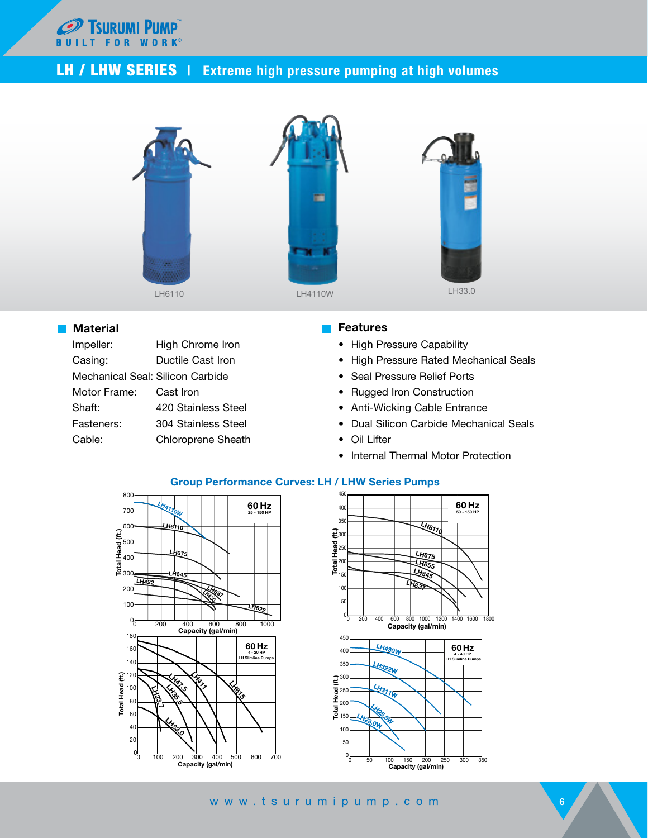

## LH / LHW SERIES | Extreme high pressure pumping at high volumes



## **Material**

| Impeller:                        | High Chrome Iron    |
|----------------------------------|---------------------|
| Casing:                          | Ductile Cast Iron   |
| Mechanical Seal: Silicon Carbide |                     |
| Motor Frame:                     | Cast Iron           |
| Shaft:                           | 420 Stainless Steel |
| Fasteners:                       | 304 Stainless Steel |
| Cable:                           | Chloroprene Sheath  |

## **Features**

- High Pressure Capability
- High Pressure Rated Mechanical Seals
- Seal Pressure Relief Ports
- Rugged Iron Construction
- Anti-Wicking Cable Entrance
- Dual Silicon Carbide Mechanical Seals
- Oil Lifter
- Internal Thermal Motor Protection



## **Group Performance Curves: LH / LHW Series Pumps**



www.tsurumipump.com